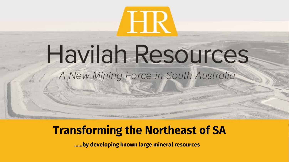

## Havilah Resources A New Mining Force in South Australia

## **Transforming the Northeast of SA**

......by developing known large mineral resources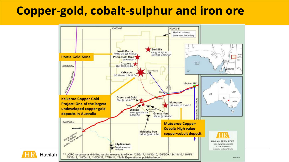## **Copper-gold, cobalt-sulphur and iron ore**

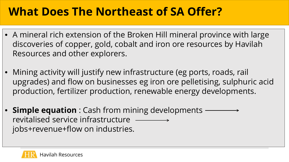## **What Does The Northeast of SA Offer?**

- A mineral rich extension of the Broken Hill mineral province with large discoveries of copper, gold, cobalt and iron ore resources by Havilah Resources and other explorers.
- Mining activity will justify new infrastructure (eg ports, roads, rail upgrades) and flow on businesses eg iron ore pelletising, sulphuric acid production, fertilizer production, renewable energy developments.
- **Simple equation** : Cash from mining developments revitalised service infrastructure jobs+revenue+flow on industries.

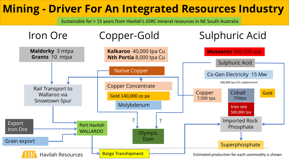## **Mining - Driver For An Integrated Resources Industry**

Sustainable for > 15 years from Havilah's JORC mineral resources in NE South Australia

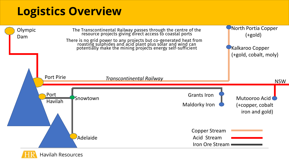## **Logistics Overview**



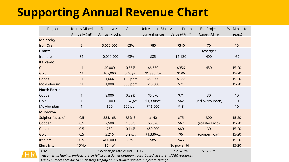## **Supporting Annual Revenue Chart**

| Project             | <b>Tonnes Mined</b>          | Tonnes/ozs    | Grade      | Unit value (US\$) | Annual Prodn    | Est. Project      | Est. Mine Life |
|---------------------|------------------------------|---------------|------------|-------------------|-----------------|-------------------|----------------|
|                     | Annually (mt)                | Annual Prodn. |            | (current prices)  | Value (A\$m)*   | Capex (A\$m)      | (Years)        |
| <b>Maldorky</b>     |                              |               |            |                   |                 |                   |                |
| <b>Iron Ore</b>     | $8\,$                        | 3,000,000     | 63%        | \$85              | \$340           | 70                | 15             |
| <b>Grants</b>       |                              |               |            |                   |                 | synergies         |                |
| Iron ore            | 31                           | 10,000,000    | 63%        | \$85              | \$1,130         | 400               | $>50$          |
| <b>Kalkaroo</b>     |                              |               |            |                   |                 |                   |                |
| Copper              | 11                           | 40,000        | 0.55%      | \$6,670           | \$356           | 450               | $15 - 20$      |
| Gold                | 11                           | 105,000       | $0.40$ g/t | \$1,330 /oz       | \$186           |                   | $15 - 20$      |
| Cobalt              | 11                           | 1,666         | 150 ppm    | \$80,000          | \$177           |                   | $15 - 20$      |
| Molybdenum          | 11                           | 1,000         | 350 ppm    | \$16,000          | \$21            |                   | $15 - 20$      |
| <b>North Portia</b> |                              |               |            |                   |                 |                   |                |
| Copper              | $\mathbf{1}$                 | 8,000         | 0.89%      | \$6,670           | \$71            | 30                | 10             |
| Gold                |                              | 35,000        | $0.64$ g/t | \$1,330/oz        | \$62            | (incl overburden) | 10             |
| Molybendum          | 1                            | 600           | 600 ppm    | \$16,000          | \$13            |                   | 10             |
| <b>Mutooroo</b>     |                              |               |            |                   |                 |                   |                |
| Sulphur (as acid)   | 0.5                          | 535,168       | 35% S      | \$140             | \$75            | 300               | $15 - 20$      |
| Copper              | 0.5                          | 7,500         | 1.50%      | \$6,670           | \$67            | (roaster+acid)    | $15 - 20$      |
| Cobalt              | 0.5                          | 750           | 0.14%      | \$80,000          | \$80            | 30                | $15 - 20$      |
| Gold                | 0.5                          | 3,215         | $0.2$ g/t  | \$1,330/oz        | \$6             | (copper float)    | $15 - 20$      |
| Iron ore            | 0.5                          | 400,000       | 63%        | \$85              | \$45            |                   | $15 - 20$      |
| <b>Electricity</b>  | 15Mw                         | 15mW          |            |                   | No power bill ! |                   | $15 - 20$      |
| <b>TOTAL</b>        | * exchange rate AUD:USD 0.75 |               |            |                   | \$2,629m        | \$1,280m          |                |



Assumes all Havilah projects are in full production at optimum rates based on current JORC resources  *Capex numbers are based on existing scoping or PFS studies and are subject to change*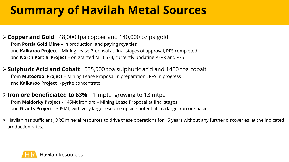## **Summary of Havilah Metal Sources**

**Copper and Gold** 48,000 tpa copper and 140,000 oz pa gold from **Portia Gold Mine** – in production and paying royalties and **Kalkaroo Project** – Mining Lease Proposal at final stages of approval, PFS completed and **North Portia Project** – on granted ML 6534, currently updating PEPR and PFS

**Sulphuric Acid and Cobalt** 535,000 tpa sulphuric acid and 1450 tpa cobalt from **Mutooroo Project** – Mining Lease Proposal in preparation , PFS in progress and **Kalkaroo Project** - pyrite concentrate

#### **Iron ore beneficiated to 63%** 1 mpta growing to 13 mtpa from **Maldorky Project -** 145Mt iron ore – Mining Lease Proposal at final stages and **Grants Project -** 305Mt, with very large resource upside potential in a large iron ore basin

 Havilah has sufficient JORC mineral resources to drive these operations for 15 years without any further discoveries at the indicated production rates.

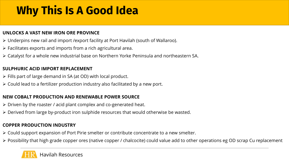## **Why This Is A Good Idea**

#### **UNLOCKS A VAST NEW IRON ORE PROVINCE**

- Underpins new rail and import /export facility at Port Havilah (south of Wallaroo).
- $\triangleright$  Facilitates exports and imports from a rich agricultural area.
- Catalyst for a whole new industrial base on Northern Yorke Peninsula and northeastern SA.

#### **SULPHURIC ACID IMPORT REPLACEMENT**

- $\triangleright$  Fills part of large demand in SA (at OD) with local product.
- Could lead to a fertilizer production industry also facilitated by a new port.

#### **NEW COBALT PRODUCTION AND RENEWABLE POWER SOURCE**

- $\triangleright$  Driven by the roaster / acid plant complex and co-generated heat.
- Derived from large by-product iron sulphide resources that would otherwise be wasted.

#### **COPPER PRODUCTION INDUSTRY**

- Could support expansion of Port Pirie smelter or contribute concentrate to a new smelter.
- Possibility that high grade copper ores (native copper / chalcocite) could value add to other operations eg OD scrap Cu replacement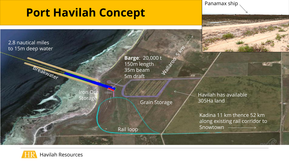## **Port Havilah Concept**

Panamax ship